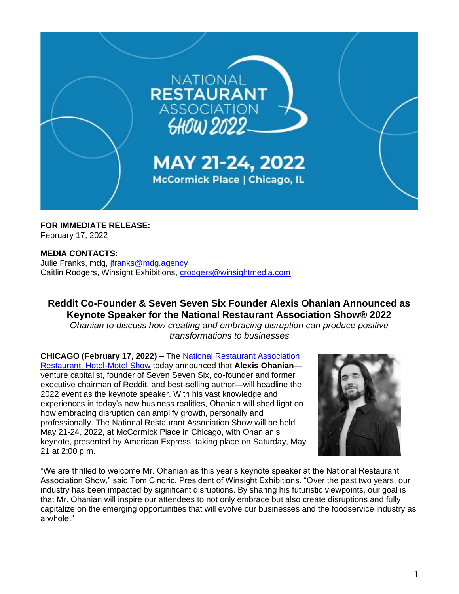

**FOR IMMEDIATE RELEASE:** February 17, 2022

## **MEDIA CONTACTS:**

Julie Franks, mdg, [jfranks@mdg.agency](mailto:jfranks@mdg.agency) Caitlin Rodgers, Winsight Exhibitions, [crodgers@winsightmedia.com](mailto:crodgers@winsightmedia.com)

## **Reddit Co-Founder & Seven Seven Six Founder Alexis Ohanian Announced as Keynote Speaker for the National Restaurant Association Show® 2022**

*Ohanian to discuss how creating and embracing disruption can produce positive transformations to businesses*

**CHICAGO (February 17, 2022)** – The [National Restaurant Association](https://www.nationalrestaurantshow.com/)  [Restaurant, Hotel-Motel Show](https://www.nationalrestaurantshow.com/) today announced that **Alexis Ohanian** venture capitalist, founder of Seven Seven Six, co-founder and former executive chairman of Reddit, and best-selling author—will headline the 2022 event as the keynote speaker. With his vast knowledge and experiences in today's new business realities, Ohanian will shed light on how embracing disruption can amplify growth, personally and professionally. The National Restaurant Association Show will be held May 21-24, 2022, at McCormick Place in Chicago, with Ohanian's keynote, presented by American Express, taking place on Saturday, May 21 at 2:00 p.m.



"We are thrilled to welcome Mr. Ohanian as this year's keynote speaker at the National Restaurant Association Show," said Tom Cindric, President of Winsight Exhibitions. "Over the past two years, our industry has been impacted by significant disruptions. By sharing his futuristic viewpoints, our goal is that Mr. Ohanian will inspire our attendees to not only embrace but also create disruptions and fully capitalize on the emerging opportunities that will evolve our businesses and the foodservice industry as a whole."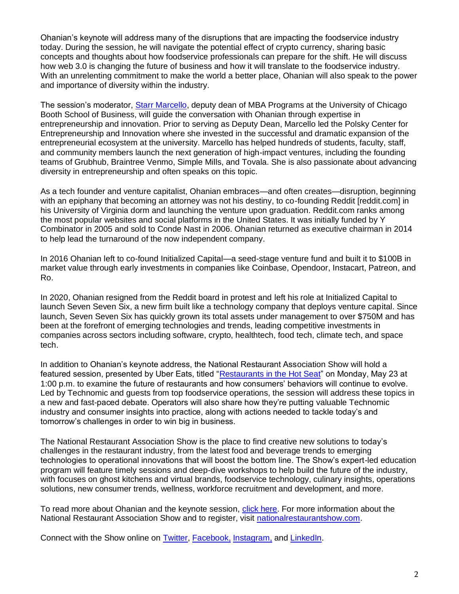Ohanian's keynote will address many of the disruptions that are impacting the foodservice industry today. During the session, he will navigate the potential effect of crypto currency, sharing basic concepts and thoughts about how foodservice professionals can prepare for the shift. He will discuss how web 3.0 is changing the future of business and how it will translate to the foodservice industry. With an unrelenting commitment to make the world a better place, Ohanian will also speak to the power and importance of diversity within the industry.

The session's moderator, [Starr Marcello,](https://www.nationalrestaurantshow.com/featured-sessions) deputy dean of MBA Programs at the University of Chicago Booth School of Business, will guide the conversation with Ohanian through expertise in entrepreneurship and innovation. Prior to serving as Deputy Dean, Marcello led the Polsky Center for Entrepreneurship and Innovation where she invested in the successful and dramatic expansion of the entrepreneurial ecosystem at the university. Marcello has helped hundreds of students, faculty, staff, and community members launch the next generation of high-impact ventures, including the founding teams of Grubhub, Braintree Venmo, Simple Mills, and Tovala. She is also passionate about advancing diversity in entrepreneurship and often speaks on this topic.

As a tech founder and venture capitalist, Ohanian embraces—and often creates—disruption, beginning with an epiphany that becoming an attorney was not his destiny, to co-founding Reddit [reddit.com] in his University of Virginia dorm and launching the venture upon graduation. Reddit.com ranks among the most popular websites and social platforms in the United States. It was initially funded by Y Combinator in 2005 and sold to Conde Nast in 2006. Ohanian returned as executive chairman in 2014 to help lead the turnaround of the now independent company.

In 2016 Ohanian left to co-found Initialized Capital—a seed-stage venture fund and built it to \$100B in market value through early investments in companies like Coinbase, Opendoor, Instacart, Patreon, and Ro.

In 2020, Ohanian resigned from the Reddit board in protest and left his role at Initialized Capital to launch Seven Seven Six, a new firm built like a technology company that deploys venture capital. Since launch, Seven Seven Six has quickly grown its total assets under management to over \$750M and has been at the forefront of emerging technologies and trends, leading competitive investments in companies across sectors including software, crypto, healthtech, food tech, climate tech, and space tech.

In addition to Ohanian's keynote address, the National Restaurant Association Show will hold a featured session, presented by Uber Eats, titled ["Restaurants in the Hot Seat"](https://directory.nationalrestaurantshow.com/8_0/sessions/session-details.cfm?scheduleid=202) on Monday, May 23 at 1:00 p.m. to examine the future of restaurants and how consumers' behaviors will continue to evolve. Led by Technomic and guests from top foodservice operations, the session will address these topics in a new and fast-paced debate. Operators will also share how they're putting valuable Technomic industry and consumer insights into practice, along with actions needed to tackle today's and tomorrow's challenges in order to win big in business.

The National Restaurant Association Show is the place to find creative new solutions to today's challenges in the restaurant industry, from the latest food and beverage trends to emerging technologies to operational innovations that will boost the bottom line. The Show's expert-led education program will feature timely sessions and deep-dive workshops to help build the future of the industry, with focuses on ghost kitchens and virtual brands, foodservice technology, culinary insights, operations solutions, new consumer trends, wellness, workforce recruitment and development, and more.

To read more about Ohanian and the keynote session, [click here.](https://www.nationalrestaurantshow.com/featured-sessions) For more information about the National Restaurant Association Show and to register, visit [nationalrestaurantshow.com.](https://www.nationalrestaurantshow.com/)

Connect with the Show online on [Twitter,](https://twitter.com/NatlRestShow) [Facebook,](https://www.facebook.com/NationalRestaurantShow) [Instagram,](https://www.instagram.com/nationalrestaurantshow/) and [LinkedIn.](https://www.linkedin.com/showcase/nationalrestaurantassocationshow)